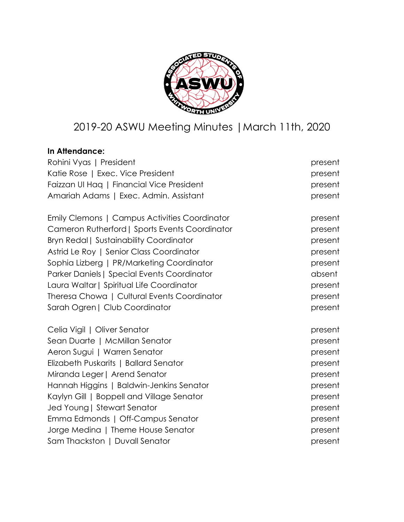

# 2019-20 ASWU Meeting Minutes |March 11th, 2020

# **In Attendance:**

| Rohini Vyas   President                            | present |
|----------------------------------------------------|---------|
| Katie Rose   Exec. Vice President                  | present |
| Faizzan UI Hag   Financial Vice President          | present |
| Amariah Adams   Exec. Admin. Assistant             | present |
| Emily Clemons   Campus Activities Coordinator      | present |
| Cameron Rutherford   Sports Events Coordinator     | present |
| <b>Bryn Redal   Sustainability Coordinator</b>     | present |
| Astrid Le Roy   Senior Class Coordinator           | present |
| Sophia Lizberg   PR/Marketing Coordinator          | present |
| <b>Parker Daniels   Special Events Coordinator</b> | absent  |
| Laura Waltar   Spiritual Life Coordinator          | present |
| Theresa Chowa   Cultural Events Coordinator        | present |
| Sarah Ogren   Club Coordinator                     | present |
| Celia Vigil   Oliver Senator                       | present |
| Sean Duarte   McMillan Senator                     | present |
| Aeron Sugui   Warren Senator                       | present |
| Elizabeth Puskarits   Ballard Senator              | present |
| Miranda Leger   Arend Senator                      | present |
| Hannah Higgins   Baldwin-Jenkins Senator           | present |
| Kaylyn Gill   Boppell and Village Senator          | present |
| Jed Young   Stewart Senator                        | present |
| Emma Edmonds   Off-Campus Senator                  | present |
| Jorge Medina   Theme House Senator                 | present |
| Sam Thackston   Duvall Senator                     | present |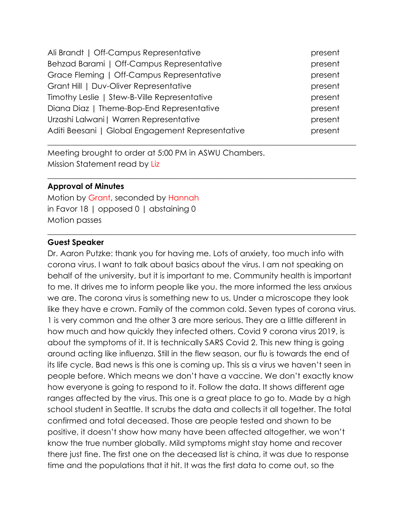| Ali Brandt   Off-Campus Representative           | present |
|--------------------------------------------------|---------|
| Behzad Barami   Off-Campus Representative        | present |
| Grace Fleming   Off-Campus Representative        | present |
| Grant Hill   Duv-Oliver Representative           | present |
| Timothy Leslie   Stew-B-Ville Representative     | present |
| Diana Diaz   Theme-Bop-End Representative        | present |
| Urzashi Lalwani   Warren Representative          | present |
| Aditi Beesani   Global Engagement Representative | present |
|                                                  |         |

 $\_$  , and the set of the set of the set of the set of the set of the set of the set of the set of the set of the set of the set of the set of the set of the set of the set of the set of the set of the set of the set of th

 $\_$  , and the set of the set of the set of the set of the set of the set of the set of the set of the set of the set of the set of the set of the set of the set of the set of the set of the set of the set of the set of th

Meeting brought to order at 5:00 PM in ASWU Chambers. Mission Statement read by Liz

### **Approval of Minutes**

Motion by Grant, seconded by Hannah in Favor 18 | opposed 0 | abstaining 0 Motion passes

### **Guest Speaker**

Dr. Aaron Putzke: thank you for having me. Lots of anxiety, too much info with corona virus. I want to talk about basics about the virus. I am not speaking on behalf of the university, but it is important to me. Community health is important to me. It drives me to inform people like you. the more informed the less anxious we are. The corona virus is something new to us. Under a microscope they look like they have e crown. Family of the common cold. Seven types of corona virus. 1 is very common and the other 3 are more serious. They are a little different in how much and how quickly they infected others. Covid 9 corona virus 2019, is about the symptoms of it. It is technically SARS Covid 2. This new thing is going around acting like influenza. Still in the flew season, our flu is towards the end of its life cycle. Bad news is this one is coming up. This sis a virus we haven't seen in people before. Which means we don't have a vaccine. We don't exactly know how everyone is going to respond to it. Follow the data. It shows different age ranges affected by the virus. This one is a great place to go to. Made by a high school student in Seattle. It scrubs the data and collects it all together. The total confirmed and total deceased. Those are people tested and shown to be positive, it doesn't show how many have been affected altogether, we won't know the true number globally. Mild symptoms might stay home and recover there just fine. The first one on the deceased list is china, it was due to response time and the populations that it hit. It was the first data to come out, so the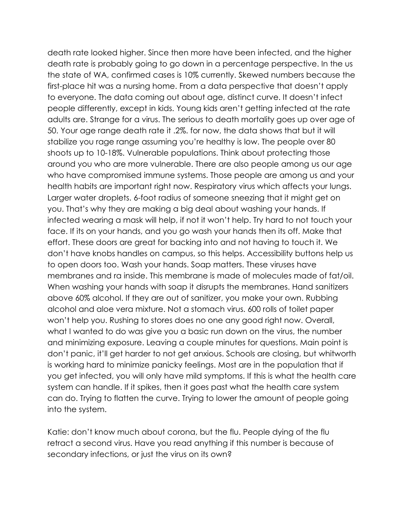death rate looked higher. Since then more have been infected, and the higher death rate is probably going to go down in a percentage perspective. In the us the state of WA, confirmed cases is 10% currently. Skewed numbers because the first-place hit was a nursing home. From a data perspective that doesn't apply to everyone. The data coming out about age, distinct curve. It doesn't infect people differently, except in kids. Young kids aren't getting infected at the rate adults are. Strange for a virus. The serious to death mortality goes up over age of 50. Your age range death rate it .2%. for now, the data shows that but it will stabilize you rage range assuming you're healthy is low. The people over 80 shoots up to 10-18%. Vulnerable populations. Think about protecting those around you who are more vulnerable. There are also people among us our age who have compromised immune systems. Those people are among us and your health habits are important right now. Respiratory virus which affects your lungs. Larger water droplets. 6-foot radius of someone sneezing that it might get on you. That's why they are making a big deal about washing your hands. If infected wearing a mask will help, if not it won't help. Try hard to not touch your face. If its on your hands, and you go wash your hands then its off. Make that effort. These doors are great for backing into and not having to touch it. We don't have knobs handles on campus, so this helps. Accessibility buttons help us to open doors too. Wash your hands. Soap matters. These viruses have membranes and ra inside. This membrane is made of molecules made of fat/oil. When washing your hands with soap it disrupts the membranes. Hand sanitizers above 60% alcohol. If they are out of sanitizer, you make your own. Rubbing alcohol and aloe vera mixture. Not a stomach virus. 600 rolls of toilet paper won't help you. Rushing to stores does no one any good right now. Overall, what I wanted to do was give you a basic run down on the virus, the number and minimizing exposure. Leaving a couple minutes for questions. Main point is don't panic, it'll get harder to not get anxious. Schools are closing, but whitworth is working hard to minimize panicky feelings. Most are in the population that if you get infected, you will only have mild symptoms. If this is what the health care system can handle. If it spikes, then it goes past what the health care system can do. Trying to flatten the curve. Trying to lower the amount of people going into the system.

Katie: don't know much about corona, but the flu. People dying of the flu retract a second virus. Have you read anything if this number is because of secondary infections, or just the virus on its own?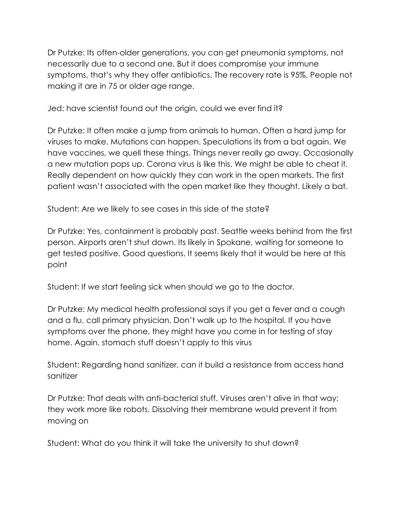Dr Putzke: Its often-older generations, you can get pneumonia symptoms, not necessarily due to a second one. But it does compromise your immune symptoms, that's why they offer antibiotics. The recovery rate is 95%. People not making it are in 75 or older age range.

Jed: have scientist found out the origin, could we ever find it?

Dr Putzke: It often make a jump from animals to human. Often a hard jump for viruses to make. Mutations can happen. Speculations its from a bat again. We have vaccines, we quell these things. Things never really go away. Occasionally a new mutation pops up. Corona virus is like this. We might be able to cheat it. Really dependent on how quickly they can work in the open markets. The first patient wasn't associated with the open market like they thought. Likely a bat.

Student: Are we likely to see cases in this side of the state?

Dr Putzke: Yes, containment is probably past. Seattle weeks behind from the first person. Airports aren't shut down. Its likely in Spokane, waiting for someone to get tested positive. Good questions. It seems likely that it would be here at this point

Student: If we start feeling sick when should we go to the doctor.

Dr Putzke: My medical health professional says if you get a fever and a cough and a flu, call primary physician. Don't walk up to the hospital. If you have symptoms over the phone, they might have you come in for testing of stay home. Again, stomach stuff doesn't apply to this virus

Student: Regarding hand sanitizer, can it build a resistance from access hand sanitizer

Dr Putzke: That deals with anti-bacterial stuff. Viruses aren't alive in that way; they work more like robots. Dissolving their membrane would prevent it from moving on

Student: What do you think it will take the university to shut down?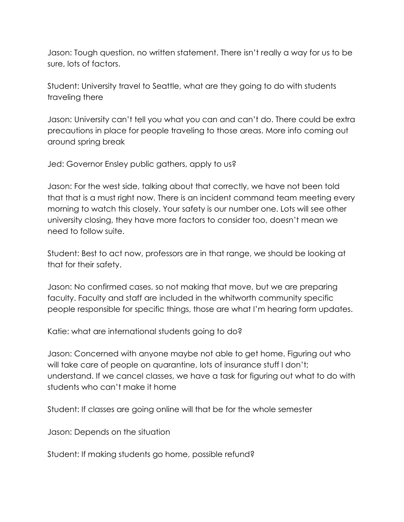Jason: Tough question, no written statement. There isn't really a way for us to be sure, lots of factors.

Student: University travel to Seattle, what are they going to do with students traveling there

Jason: University can't tell you what you can and can't do. There could be extra precautions in place for people traveling to those areas. More info coming out around spring break

Jed: Governor Ensley public gathers, apply to us?

Jason: For the west side, talking about that correctly, we have not been told that that is a must right now. There is an incident command team meeting every morning to watch this closely. Your safety is our number one. Lots will see other university closing, they have more factors to consider too, doesn't mean we need to follow suite.

Student: Best to act now, professors are in that range, we should be looking at that for their safety.

Jason: No confirmed cases, so not making that move, but we are preparing faculty. Faculty and staff are included in the whitworth community specific people responsible for specific things, those are what I'm hearing form updates.

Katie: what are international students going to do?

Jason: Concerned with anyone maybe not able to get home. Figuring out who will take care of people on quarantine, lots of insurance stuff I don't; understand. If we cancel classes, we have a task for figuring out what to do with students who can't make it home

Student: If classes are going online will that be for the whole semester

Jason: Depends on the situation

Student: If making students go home, possible refund?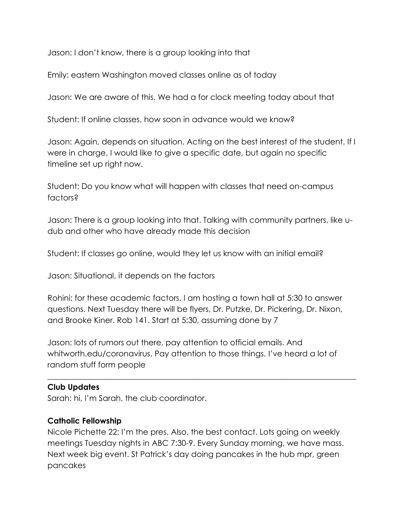Jason: I don't know, there is a group looking into that

Emily: eastern Washington moved classes online as of today

Jason: We are aware of this. We had a for clock meeting today about that

Student: If online classes, how soon in advance would we know?

Jason: Again, depends on situation. Acting on the best interest of the student. If I were in charge, I would like to give a specific date, but again no specific timeline set up right now.

Student: Do you know what will happen with classes that need on-campus factors?

Jason: There is a group looking into that. Talking with community partners, like udub and other who have already made this decision

Student: If classes go online, would they let us know with an initial email?

Jason: Situational, it depends on the factors

Rohini: for these academic factors, I am hosting a town hall at 5:30 to answer questions. Next Tuesday there will be flyers, Dr. Putzke, Dr. Pickering, Dr. Nixon, and Brooke Kiner. Rob 141. Start at 5:30, assuming done by 7

Jason: lots of rumors out there, pay attention to official emails. And whitworth.edu/coronavirus. Pay attention to those things. I've heard a lot of random stuff form people

 $\_$  , and the set of the set of the set of the set of the set of the set of the set of the set of the set of the set of the set of the set of the set of the set of the set of the set of the set of the set of the set of th

# **Club Updates**

Sarah: hi, I'm Sarah, the club coordinator.

# **Catholic Fellowship**

Nicole Pichette 22: I'm the pres. Also, the best contact. Lots going on weekly meetings Tuesday nights in ABC 7:30-9. Every Sunday morning, we have mass. Next week big event. St Patrick's day doing pancakes in the hub mpr, green pancakes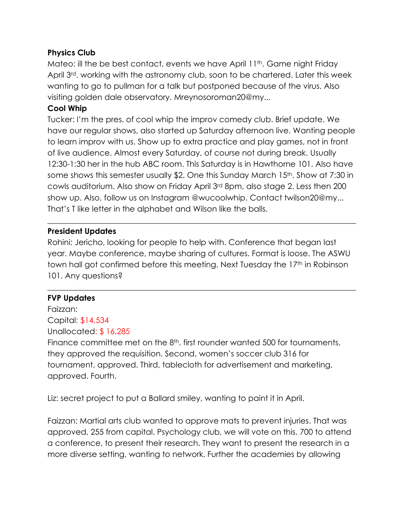### **Physics Club**

Mateo: ill the be best contact, events we have April 11<sup>th</sup>. Game night Friday April 3rd. working with the astronomy club, soon to be chartered. Later this week wanting to go to pullman for a talk but postponed because of the virus. Also visiting golden dale observatory. Mreynosoroman20@my...

# **Cool Whip**

Tucker: I'm the pres. of cool whip the improv comedy club. Brief update. We have our regular shows, also started up Saturday afternoon live. Wanting people to learn improv with us. Show up to extra practice and play games, not in front of live audience. Almost every Saturday, of course not during break. Usually 12:30-1:30 her in the hub ABC room. This Saturday is in Hawthorne 101. Also have some shows this semester usually \$2. One this Sunday March 15<sup>th</sup>. Show at 7:30 in cowls auditorium. Also show on Friday April 3rd 8pm, also stage 2. Less then 200 show up. Also, follow us on Instagram @wucoolwhip. Contact twilson20@my... That's T like letter in the alphabet and Wilson like the balls.

### **President Updates**

Rohini: Jericho, looking for people to help with. Conference that began last year. Maybe conference, maybe sharing of cultures. Format is loose. The ASWU town hall got confirmed before this meeting. Next Tuesday the 17<sup>th</sup> in Robinson 101. Any questions?

 $\_$  , and the set of the set of the set of the set of the set of the set of the set of the set of the set of the set of the set of the set of the set of the set of the set of the set of the set of the set of the set of th

 $\_$  , and the set of the set of the set of the set of the set of the set of the set of the set of the set of the set of the set of the set of the set of the set of the set of the set of the set of the set of the set of th

# **FVP Updates**

Faizzan:

Capital: \$14,534 Unallocated: \$ 16,285

Finance committee met on the  $8<sup>th</sup>$ . first rounder wanted 500 for tournaments, they approved the requisition. Second, women's soccer club 316 for tournament, approved. Third, tablecloth for advertisement and marketing, approved. Fourth.

Liz: secret project to put a Ballard smiley, wanting to paint it in April.

Faizzan: Martial arts club wanted to approve mats to prevent injuries. That was approved, 255 from capital. Psychology club, we will vote on this. 700 to attend a conference, to present their research. They want to present the research in a more diverse setting, wanting to network. Further the academies by allowing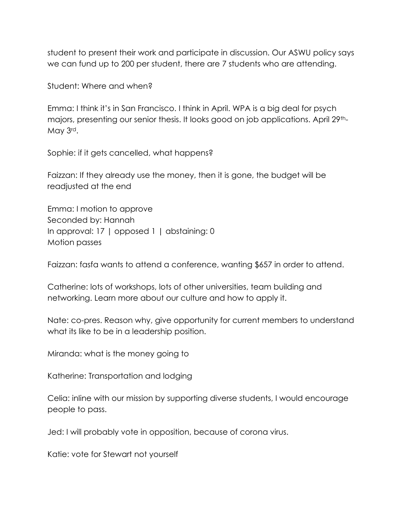student to present their work and participate in discussion. Our ASWU policy says we can fund up to 200 per student, there are 7 students who are attending.

Student: Where and when?

Emma: I think it's in San Francisco. I think in April. WPA is a big deal for psych majors, presenting our senior thesis. It looks good on job applications. April 29th-May 3rd.

Sophie: if it gets cancelled, what happens?

Faizzan: If they already use the money, then it is gone, the budget will be readjusted at the end

Emma: I motion to approve Seconded by: Hannah In approval: 17 | opposed 1 | abstaining: 0 Motion passes

Faizzan: fasfa wants to attend a conference, wanting \$657 in order to attend.

Catherine: lots of workshops, lots of other universities, team building and networking. Learn more about our culture and how to apply it.

Nate: co-pres. Reason why, give opportunity for current members to understand what its like to be in a leadership position.

Miranda: what is the money going to

Katherine: Transportation and lodging

Celia: inline with our mission by supporting diverse students, I would encourage people to pass.

Jed: I will probably vote in opposition, because of corona virus.

Katie: vote for Stewart not yourself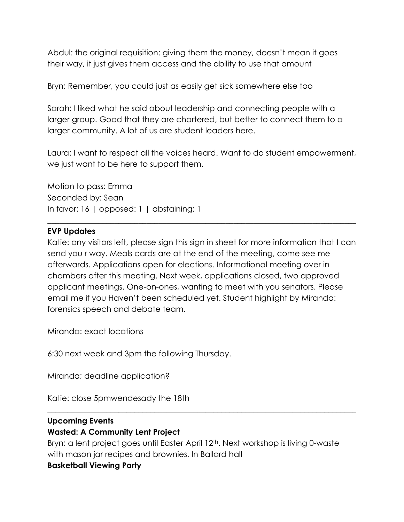Abdul: the original requisition: giving them the money, doesn't mean it goes their way, it just gives them access and the ability to use that amount

Bryn: Remember, you could just as easily get sick somewhere else too

Sarah: I liked what he said about leadership and connecting people with a larger group. Good that they are chartered, but better to connect them to a larger community. A lot of us are student leaders here.

Laura: I want to respect all the voices heard. Want to do student empowerment, we just want to be here to support them.

Motion to pass: Emma Seconded by: Sean In favor: 16 | opposed: 1 | abstaining: 1

### **EVP Updates**

Katie: any visitors left, please sign this sign in sheet for more information that I can send you r way. Meals cards are at the end of the meeting, come see me afterwards. Applications open for elections. Informational meeting over in chambers after this meeting. Next week, applications closed, two approved applicant meetings. One-on-ones, wanting to meet with you senators. Please email me if you Haven't been scheduled yet. Student highlight by Miranda: forensics speech and debate team.

 $\_$  , and the set of the set of the set of the set of the set of the set of the set of the set of the set of the set of the set of the set of the set of the set of the set of the set of the set of the set of the set of th

Miranda: exact locations

6:30 next week and 3pm the following Thursday.

Miranda; deadline application?

Katie: close 5pmwendesady the 18th

### **Upcoming Events**

### **Wasted: A Community Lent Project**

Bryn: a lent project goes until Easter April 12<sup>th</sup>. Next workshop is living 0-waste with mason jar recipes and brownies. In Ballard hall

 $\_$  , and the set of the set of the set of the set of the set of the set of the set of the set of the set of the set of the set of the set of the set of the set of the set of the set of the set of the set of the set of th

### **Basketball Viewing Party**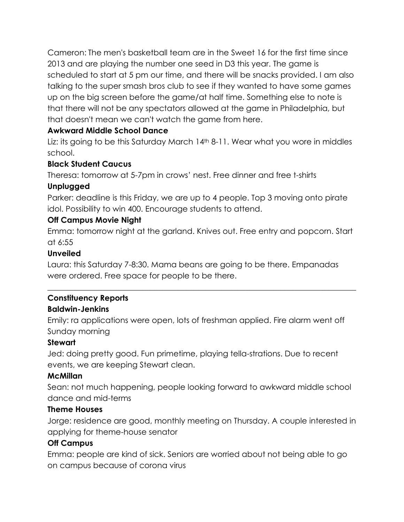Cameron: The men's basketball team are in the Sweet 16 for the first time since 2013 and are playing the number one seed in D3 this year. The game is scheduled to start at 5 pm our time, and there will be snacks provided. I am also talking to the super smash bros club to see if they wanted to have some games up on the big screen before the game/at half time. Something else to note is that there will not be any spectators allowed at the game in Philadelphia, but that doesn't mean we can't watch the game from here.

# **Awkward Middle School Dance**

Liz: its going to be this Saturday March 14<sup>th</sup> 8-11. Wear what you wore in middles school.

# **Black Student Caucus**

Theresa: tomorrow at 5-7pm in crows' nest. Free dinner and free t-shirts

# **Unplugged**

Parker: deadline is this Friday, we are up to 4 people. Top 3 moving onto pirate idol. Possibility to win 400. Encourage students to attend.

### **Off Campus Movie Night**

Emma: tomorrow night at the garland. Knives out. Free entry and popcorn. Start at 6:55

 $\_$  , and the set of the set of the set of the set of the set of the set of the set of the set of the set of the set of the set of the set of the set of the set of the set of the set of the set of the set of the set of th

# **Unveiled**

Laura: this Saturday 7-8:30. Mama beans are going to be there. Empanadas were ordered. Free space for people to be there.

# **Constituency Reports**

### **Baldwin-Jenkins**

Emily: ra applications were open, lots of freshman applied. Fire alarm went off Sunday morning

# **Stewart**

Jed: doing pretty good. Fun primetime, playing tella-strations. Due to recent events, we are keeping Stewart clean.

# **McMillan**

Sean: not much happening, people looking forward to awkward middle school dance and mid-terms

### **Theme Houses**

Jorge: residence are good, monthly meeting on Thursday. A couple interested in applying for theme-house senator

### **Off Campus**

Emma: people are kind of sick. Seniors are worried about not being able to go on campus because of corona virus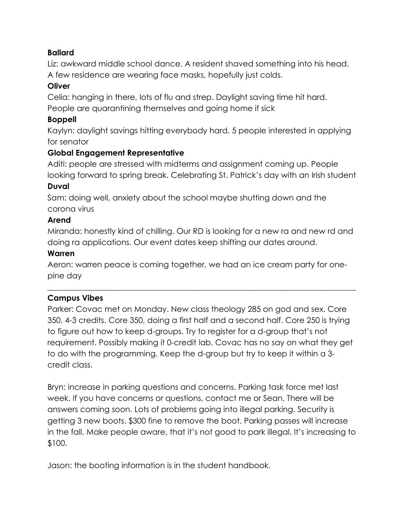### **Ballard**

Liz: awkward middle school dance. A resident shaved something into his head. A few residence are wearing face masks, hopefully just colds.

### **Oliver**

Celia: hanging in there, lots of flu and strep. Daylight saving time hit hard. People are quarantining themselves and going home if sick

### **Boppell**

Kaylyn: daylight savings hitting everybody hard. 5 people interested in applying for senator

# **Global Engagement Representative**

Aditi: people are stressed with midterms and assignment coming up. People looking forward to spring break. Celebrating St. Patrick's day with an Irish student

### **Duval**

Sam: doing well, anxiety about the school maybe shutting down and the corona virus

### **Arend**

Miranda: honestly kind of chilling. Our RD is looking for a new ra and new rd and doing ra applications. Our event dates keep shifting our dates around.

### **Warren**

Aeron: warren peace is coming together, we had an ice cream party for onepine day

 $\_$  , and the set of the set of the set of the set of the set of the set of the set of the set of the set of the set of the set of the set of the set of the set of the set of the set of the set of the set of the set of th

# **Campus Vibes**

Parker: Covac met on Monday. New class theology 285 on god and sex. Core 350, 4-3 credits. Core 350, doing a first half and a second half. Core 250 is trying to figure out how to keep d-groups. Try to register for a d-group that's not requirement. Possibly making it 0-credit lab. Covac has no say on what they get to do with the programming. Keep the d-group but try to keep it within a 3 credit class.

Bryn: increase in parking questions and concerns. Parking task force met last week. If you have concerns or questions, contact me or Sean. There will be answers coming soon. Lots of problems going into illegal parking. Security is getting 3 new boots. \$300 fine to remove the boot. Parking passes will increase in the fall. Make people aware, that it's not good to park illegal. It's increasing to \$100.

Jason: the booting information is in the student handbook.